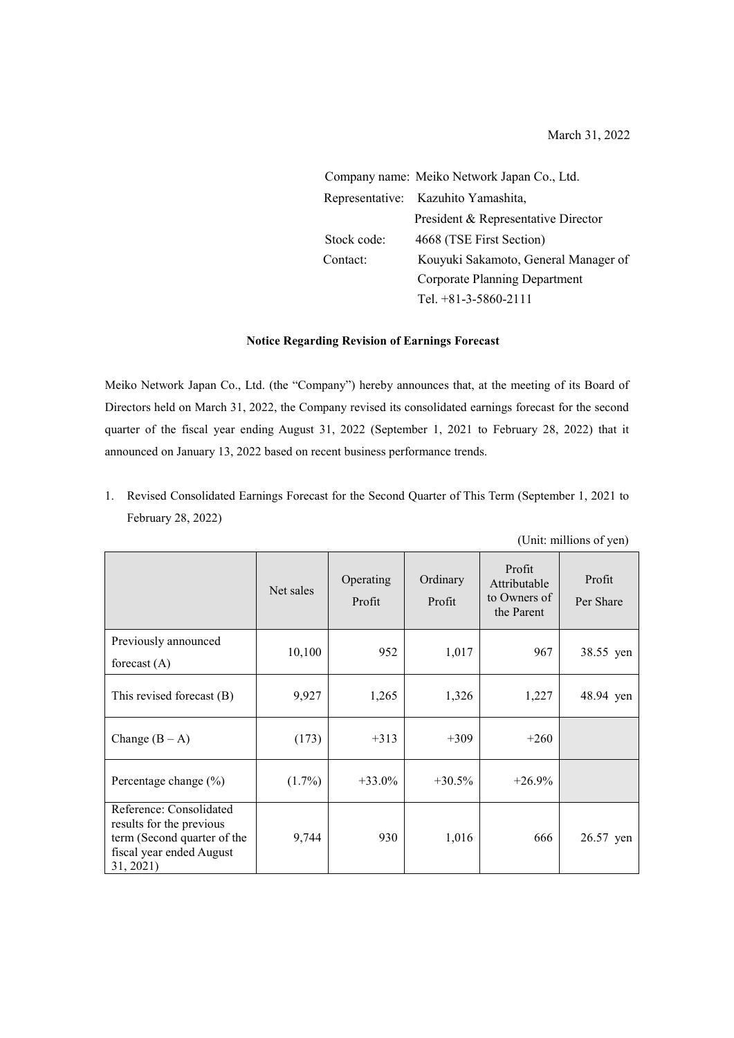March 31, 2022

Company name: Meiko Network Japan Co., Ltd. Representative: Kazuhito Yamashita, President & Representative Director Stock code: 4668 (TSE First Section) Contact: Kouyuki Sakamoto, General Manager of Corporate Planning Department Tel. +81-3-5860-2111

## **Notice Regarding Revision of Earnings Forecast**

Meiko Network Japan Co., Ltd. (the "Company") hereby announces that, at the meeting of its Board of Directors held on March 31, 2022, the Company revised its consolidated earnings forecast for the second quarter of the fiscal year ending August 31, 2022 (September 1, 2021 to February 28, 2022) that it announced on January 13, 2022 based on recent business performance trends.

1. Revised Consolidated Earnings Forecast for the Second Quarter of This Term (September 1, 2021 to February 28, 2022)

|                                                                                                                             |           |                     | (Unit: millions of yen) |                                                      |                     |
|-----------------------------------------------------------------------------------------------------------------------------|-----------|---------------------|-------------------------|------------------------------------------------------|---------------------|
|                                                                                                                             | Net sales | Operating<br>Profit | Ordinary<br>Profit      | Profit<br>Attributable<br>to Owners of<br>the Parent | Profit<br>Per Share |
| Previously announced<br>forecast $(A)$                                                                                      | 10,100    | 952                 | 1,017                   | 967                                                  | 38.55 yen           |
| This revised forecast $(B)$                                                                                                 | 9,927     | 1,265               | 1,326                   | 1,227                                                | 48.94 yen           |
| Change $(B - A)$                                                                                                            | (173)     | $+313$              | $+309$                  | $+260$                                               |                     |
| Percentage change (%)                                                                                                       | $(1.7\%)$ | $+33.0\%$           | $+30.5%$                | $+26.9%$                                             |                     |
| Reference: Consolidated<br>results for the previous<br>term (Second quarter of the<br>fiscal year ended August<br>31, 2021) | 9,744     | 930                 | 1,016                   | 666                                                  | 26.57 yen           |